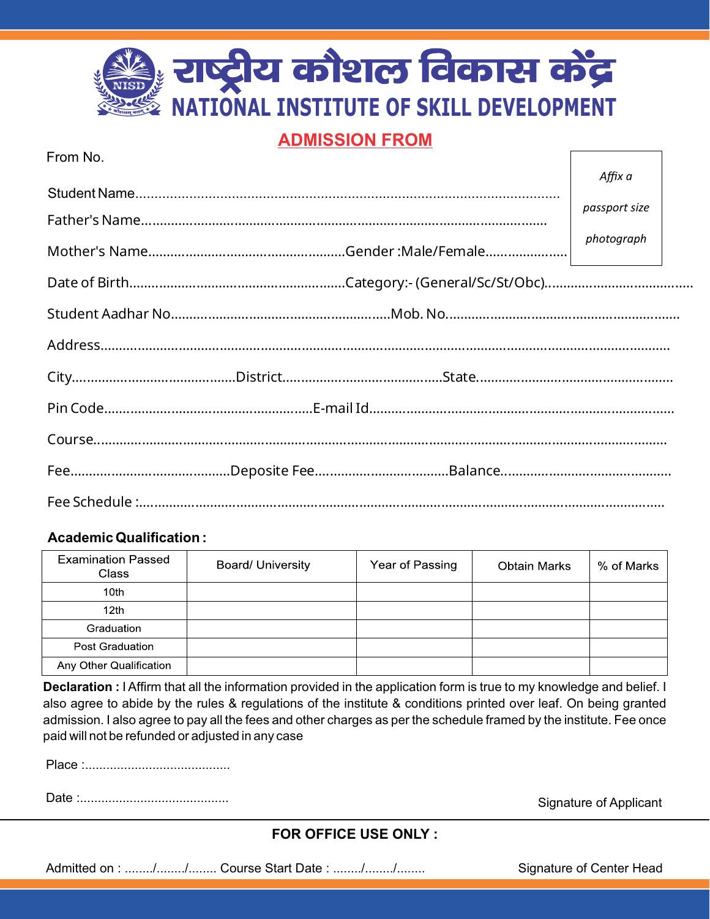# राष्ट्रीय कौशल विकास केंद्र **IONAL INSTITUTE OF SKILL DEVELOPMENT**

### **ADMISSION FROM**

| Affix a       |  |
|---------------|--|
|               |  |
| passport size |  |
| photograph    |  |
|               |  |
|               |  |
|               |  |
|               |  |
|               |  |
|               |  |
|               |  |
|               |  |

#### Academic Qualification :

From No.

| <b>Examination Passed</b><br>Class | <b>Board/ University</b> | Year of Passing | <b>Obtain Marks</b> | % of Marks |
|------------------------------------|--------------------------|-----------------|---------------------|------------|
| 10 <sub>th</sub>                   |                          |                 |                     |            |
| 12 <sub>th</sub>                   |                          |                 |                     |            |
| Graduation                         |                          |                 |                     |            |
| Post Graduation                    |                          |                 |                     |            |
| Any Other Qualification            |                          |                 |                     |            |

**Declaration :** I Affirm that all the information provided in the application form is true to my knowledge and belief. I also agree to abide by the rules & regulations of the institute & conditions printed over leaf. On being granted admission. I also agree to pay all the fees and other charges as per the schedule framed by the institute. Fee once paid will not be refunded or adjusted in any case

Place :.........................................

Date :.......................................... Signature of Applicant

 $\sqrt{ }$ 

#### **FOR OFFICE USE ONLY :**

Admitted on : ......../......../........ Course Start Date : ......../......../........ Signature of Center Head